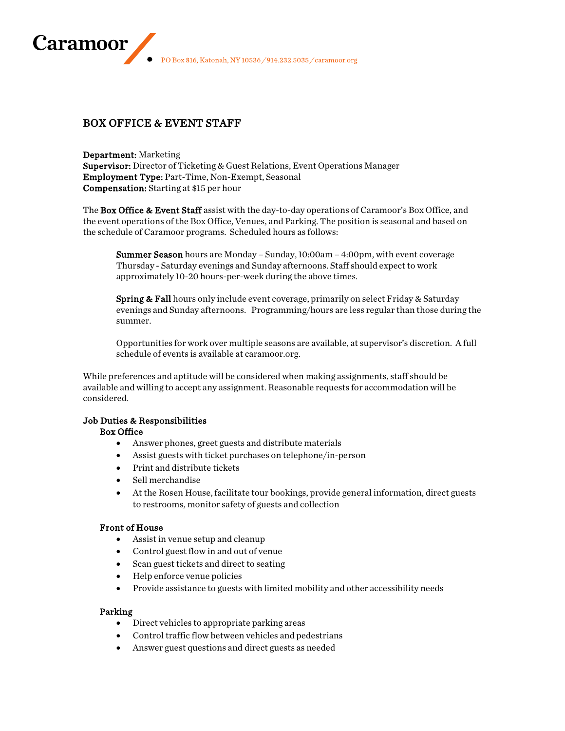PO Box 816, Katonah, NY 10536 / 914.232.5035 / caramoor.org

# BOX OFFICE & EVENT STAFF

Caramoor

Department: Marketing Supervisor: Director of Ticketing & Guest Relations, Event Operations Manager Employment Type: Part-Time, Non-Exempt, Seasonal Compensation: Starting at \$15 per hour

The Box Office & Event Staff assist with the day-to-day operations of Caramoor's Box Office, and the event operations of the Box Office, Venues, and Parking. The position is seasonal and based on the schedule of Caramoor programs. Scheduled hours as follows:

Summer Season hours are Monday - Sunday, 10:00am - 4:00pm, with event coverage Thursday - Saturday evenings and Sunday afternoons. Staff should expect to work approximately 10-20 hours-per-week during the above times.

Spring & Fall hours only include event coverage, primarily on select Friday & Saturday evenings and Sunday afternoons. Programming/hours are less regular than those during the summer.

Opportunities for work over multiple seasons are available, at supervisor's discretion. A full schedule of events is available at caramoor.org.

While preferences and aptitude will be considered when making assignments, staff should be available and willing to accept any assignment. Reasonable requests for accommodation will be considered.

## Job Duties & Responsibilities

## Box Office

- Answer phones, greet guests and distribute materials
- Assist guests with ticket purchases on telephone/in-person
- Print and distribute tickets
- Sell merchandise
- At the Rosen House, facilitate tour bookings, provide general information, direct guests to restrooms, monitor safety of guests and collection

# Front of House

- Assist in venue setup and cleanup
- Control guest flow in and out of venue
- Scan guest tickets and direct to seating
- Help enforce venue policies
- Provide assistance to guests with limited mobility and other accessibility needs

#### Parking

- Direct vehicles to appropriate parking areas
- Control traffic flow between vehicles and pedestrians
- Answer guest questions and direct guests as needed